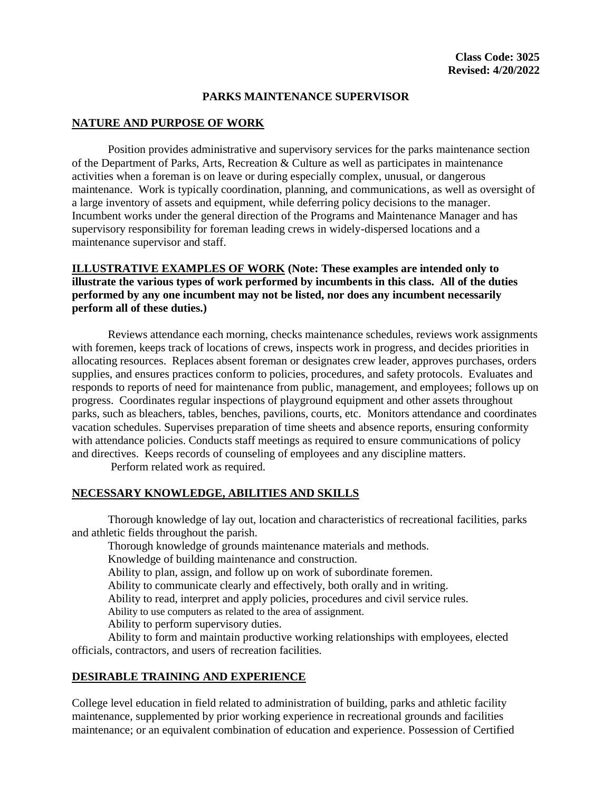## **PARKS MAINTENANCE SUPERVISOR**

# **NATURE AND PURPOSE OF WORK**

Position provides administrative and supervisory services for the parks maintenance section of the Department of Parks, Arts, Recreation & Culture as well as participates in maintenance activities when a foreman is on leave or during especially complex, unusual, or dangerous maintenance. Work is typically coordination, planning, and communications, as well as oversight of a large inventory of assets and equipment, while deferring policy decisions to the manager. Incumbent works under the general direction of the Programs and Maintenance Manager and has supervisory responsibility for foreman leading crews in widely-dispersed locations and a maintenance supervisor and staff.

# **ILLUSTRATIVE EXAMPLES OF WORK (Note: These examples are intended only to illustrate the various types of work performed by incumbents in this class. All of the duties performed by any one incumbent may not be listed, nor does any incumbent necessarily perform all of these duties.)**

Reviews attendance each morning, checks maintenance schedules, reviews work assignments with foremen, keeps track of locations of crews, inspects work in progress, and decides priorities in allocating resources. Replaces absent foreman or designates crew leader, approves purchases, orders supplies, and ensures practices conform to policies, procedures, and safety protocols. Evaluates and responds to reports of need for maintenance from public, management, and employees; follows up on progress. Coordinates regular inspections of playground equipment and other assets throughout parks, such as bleachers, tables, benches, pavilions, courts, etc. Monitors attendance and coordinates vacation schedules. Supervises preparation of time sheets and absence reports, ensuring conformity with attendance policies. Conducts staff meetings as required to ensure communications of policy and directives. Keeps records of counseling of employees and any discipline matters.

Perform related work as required.

### **NECESSARY KNOWLEDGE, ABILITIES AND SKILLS**

Thorough knowledge of lay out, location and characteristics of recreational facilities, parks and athletic fields throughout the parish.

Thorough knowledge of grounds maintenance materials and methods.

Knowledge of building maintenance and construction.

Ability to plan, assign, and follow up on work of subordinate foremen.

Ability to communicate clearly and effectively, both orally and in writing.

Ability to read, interpret and apply policies, procedures and civil service rules.

Ability to use computers as related to the area of assignment.

Ability to perform supervisory duties.

Ability to form and maintain productive working relationships with employees, elected officials, contractors, and users of recreation facilities.

### **DESIRABLE TRAINING AND EXPERIENCE**

College level education in field related to administration of building, parks and athletic facility maintenance, supplemented by prior working experience in recreational grounds and facilities maintenance; or an equivalent combination of education and experience. Possession of Certified